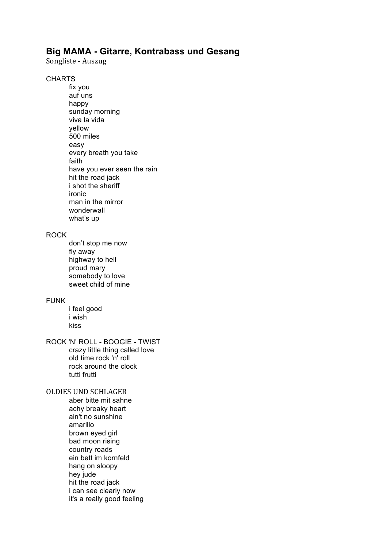# **Big MAMA - Gitarre, Kontrabass und Gesang**

Songliste - Auszug

**CHARTS** 

fix you auf uns happy sunday morning viva la vida yellow 500 miles easy every breath you take faith have you ever seen the rain hit the road jack i shot the sheriff ironic man in the mirror wonderwall what's up

### ROCK

don't stop me now fly away highway to hell proud mary somebody to love sweet child of mine

## FUNK

i feel good i wish kiss

#### ROCK 'N' ROLL - BOOGIE - TWIST crazy little thing called love old time rock 'n' roll rock around the clock

tutti frutti

# OLDIES UND SCHLAGER

aber bitte mit sahne achy breaky heart ain't no sunshine amarillo brown eyed girl bad moon rising country roads ein bett im kornfeld hang on sloopy hey jude hit the road jack i can see clearly now it's a really good feeling